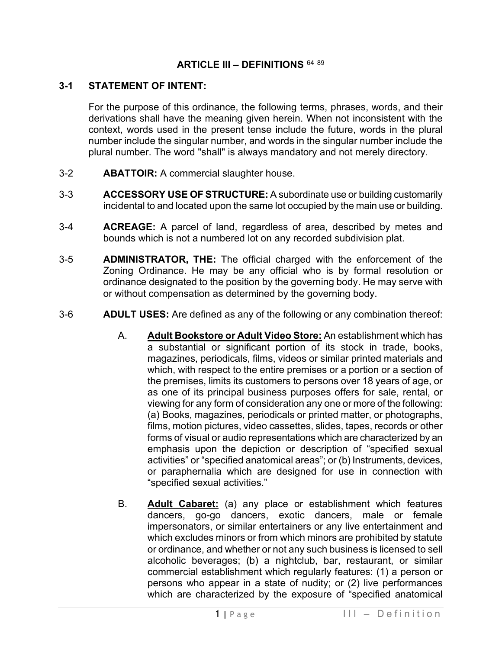## **ARTICLE III – DEFINITIONS** [64](#page-27-0) [89](#page-27-1)

## **3-1 STATEMENT OF INTENT:**

For the purpose of this ordinance, the following terms, phrases, words, and their derivations shall have the meaning given herein. When not inconsistent with the context, words used in the present tense include the future, words in the plural number include the singular number, and words in the singular number include the plural number. The word "shall" is always mandatory and not merely directory.

- 3-2 **ABATTOIR:** A commercial slaughter house.
- 3-3 **ACCESSORY USE OF STRUCTURE:** A subordinate use or building customarily incidental to and located upon the same lot occupied by the main use or building.
- 3-4 **ACREAGE:** A parcel of land, regardless of area, described by metes and bounds which is not a numbered lot on any recorded subdivision plat.
- 3-5 **ADMINISTRATOR, THE:** The official charged with the enforcement of the Zoning Ordinance. He may be any official who is by formal resolution or ordinance designated to the position by the governing body. He may serve with or without compensation as determined by the governing body.
- 3-6 **ADULT USES:** Are defined as any of the following or any combination thereof:
	- A. **Adult Bookstore or Adult Video Store:** An establishment which has a substantial or significant portion of its stock in trade, books, magazines, periodicals, films, videos or similar printed materials and which, with respect to the entire premises or a portion or a section of the premises, limits its customers to persons over 18 years of age, or as one of its principal business purposes offers for sale, rental, or viewing for any form of consideration any one or more of the following: (a) Books, magazines, periodicals or printed matter, or photographs, films, motion pictures, video cassettes, slides, tapes, records or other forms of visual or audio representations which are characterized by an emphasis upon the depiction or description of "specified sexual activities" or "specified anatomical areas"; or (b) Instruments, devices, or paraphernalia which are designed for use in connection with "specified sexual activities."
	- B. **Adult Cabaret:** (a) any place or establishment which features dancers, go-go dancers, exotic dancers, male or female impersonators, or similar entertainers or any live entertainment and which excludes minors or from which minors are prohibited by statute or ordinance, and whether or not any such business is licensed to sell alcoholic beverages; (b) a nightclub, bar, restaurant, or similar commercial establishment which regularly features: (1) a person or persons who appear in a state of nudity; or (2) live performances which are characterized by the exposure of "specified anatomical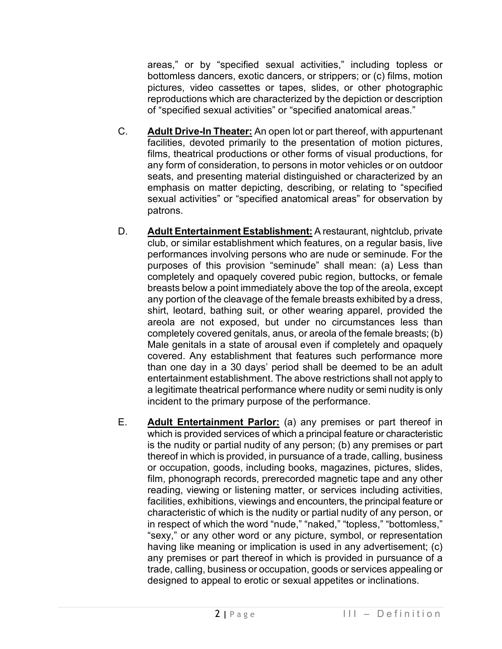areas," or by "specified sexual activities," including topless or bottomless dancers, exotic dancers, or strippers; or (c) films, motion pictures, video cassettes or tapes, slides, or other photographic reproductions which are characterized by the depiction or description of "specified sexual activities" or "specified anatomical areas."

- C. **Adult Drive-In Theater:** An open lot or part thereof, with appurtenant facilities, devoted primarily to the presentation of motion pictures, films, theatrical productions or other forms of visual productions, for any form of consideration, to persons in motor vehicles or on outdoor seats, and presenting material distinguished or characterized by an emphasis on matter depicting, describing, or relating to "specified sexual activities" or "specified anatomical areas" for observation by patrons.
- D. **Adult Entertainment Establishment:** A restaurant, nightclub, private club, or similar establishment which features, on a regular basis, live performances involving persons who are nude or seminude. For the purposes of this provision "seminude" shall mean: (a) Less than completely and opaquely covered pubic region, buttocks, or female breasts below a point immediately above the top of the areola, except any portion of the cleavage of the female breasts exhibited by a dress, shirt, leotard, bathing suit, or other wearing apparel, provided the areola are not exposed, but under no circumstances less than completely covered genitals, anus, or areola of the female breasts; (b) Male genitals in a state of arousal even if completely and opaquely covered. Any establishment that features such performance more than one day in a 30 days' period shall be deemed to be an adult entertainment establishment. The above restrictions shall not apply to a legitimate theatrical performance where nudity or semi nudity is only incident to the primary purpose of the performance.
- E. **Adult Entertainment Parlor:** (a) any premises or part thereof in which is provided services of which a principal feature or characteristic is the nudity or partial nudity of any person; (b) any premises or part thereof in which is provided, in pursuance of a trade, calling, business or occupation, goods, including books, magazines, pictures, slides, film, phonograph records, prerecorded magnetic tape and any other reading, viewing or listening matter, or services including activities, facilities, exhibitions, viewings and encounters, the principal feature or characteristic of which is the nudity or partial nudity of any person, or in respect of which the word "nude," "naked," "topless," "bottomless," "sexy," or any other word or any picture, symbol, or representation having like meaning or implication is used in any advertisement; (c) any premises or part thereof in which is provided in pursuance of a trade, calling, business or occupation, goods or services appealing or designed to appeal to erotic or sexual appetites or inclinations.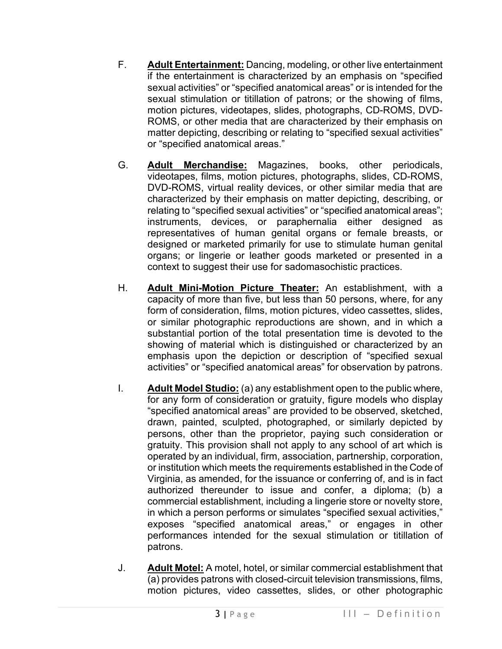- F. **Adult Entertainment:** Dancing, modeling, or other live entertainment if the entertainment is characterized by an emphasis on "specified sexual activities" or "specified anatomical areas" or is intended for the sexual stimulation or titillation of patrons; or the showing of films, motion pictures, videotapes, slides, photographs, CD-ROMS, DVD-ROMS, or other media that are characterized by their emphasis on matter depicting, describing or relating to "specified sexual activities" or "specified anatomical areas."
- G. **Adult Merchandise:** Magazines, books, other periodicals, videotapes, films, motion pictures, photographs, slides, CD-ROMS, DVD-ROMS, virtual reality devices, or other similar media that are characterized by their emphasis on matter depicting, describing, or relating to "specified sexual activities" or "specified anatomical areas"; instruments, devices, or paraphernalia either designed as representatives of human genital organs or female breasts, or designed or marketed primarily for use to stimulate human genital organs; or lingerie or leather goods marketed or presented in a context to suggest their use for sadomasochistic practices.
- H. **Adult Mini-Motion Picture Theater:** An establishment, with a capacity of more than five, but less than 50 persons, where, for any form of consideration, films, motion pictures, video cassettes, slides, or similar photographic reproductions are shown, and in which a substantial portion of the total presentation time is devoted to the showing of material which is distinguished or characterized by an emphasis upon the depiction or description of "specified sexual activities" or "specified anatomical areas" for observation by patrons.
- I. **Adult Model Studio:** (a) any establishment open to the public where, for any form of consideration or gratuity, figure models who display "specified anatomical areas" are provided to be observed, sketched, drawn, painted, sculpted, photographed, or similarly depicted by persons, other than the proprietor, paying such consideration or gratuity. This provision shall not apply to any school of art which is operated by an individual, firm, association, partnership, corporation, or institution which meets the requirements established in the Code of Virginia, as amended, for the issuance or conferring of, and is in fact authorized thereunder to issue and confer, a diploma; (b) a commercial establishment, including a lingerie store or novelty store, in which a person performs or simulates "specified sexual activities," exposes "specified anatomical areas," or engages in other performances intended for the sexual stimulation or titillation of patrons.
- J. **Adult Motel:** A motel, hotel, or similar commercial establishment that (a) provides patrons with closed-circuit television transmissions, films, motion pictures, video cassettes, slides, or other photographic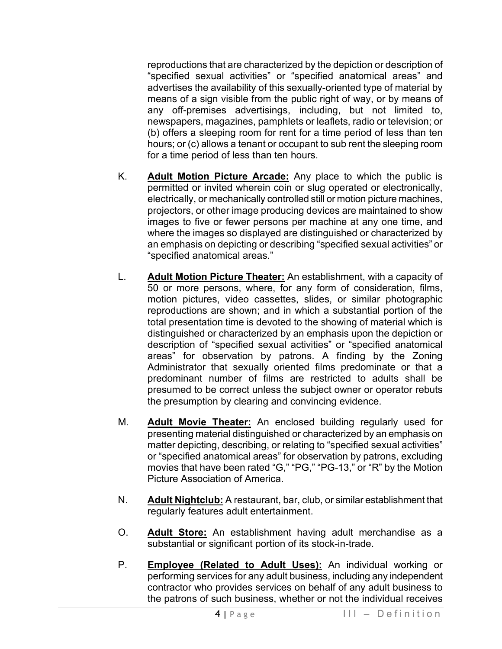reproductions that are characterized by the depiction or description of "specified sexual activities" or "specified anatomical areas" and advertises the availability of this sexually-oriented type of material by means of a sign visible from the public right of way, or by means of any off-premises advertisings, including, but not limited to, newspapers, magazines, pamphlets or leaflets, radio or television; or (b) offers a sleeping room for rent for a time period of less than ten hours; or (c) allows a tenant or occupant to sub rent the sleeping room for a time period of less than ten hours.

- K. **Adult Motion Picture Arcade:** Any place to which the public is permitted or invited wherein coin or slug operated or electronically, electrically, or mechanically controlled still or motion picture machines, projectors, or other image producing devices are maintained to show images to five or fewer persons per machine at any one time, and where the images so displayed are distinguished or characterized by an emphasis on depicting or describing "specified sexual activities" or "specified anatomical areas."
- L. **Adult Motion Picture Theater:** An establishment, with a capacity of 50 or more persons, where, for any form of consideration, films, motion pictures, video cassettes, slides, or similar photographic reproductions are shown; and in which a substantial portion of the total presentation time is devoted to the showing of material which is distinguished or characterized by an emphasis upon the depiction or description of "specified sexual activities" or "specified anatomical areas" for observation by patrons. A finding by the Zoning Administrator that sexually oriented films predominate or that a predominant number of films are restricted to adults shall be presumed to be correct unless the subject owner or operator rebuts the presumption by clearing and convincing evidence.
- M. **Adult Movie Theater:** An enclosed building regularly used for presenting material distinguished or characterized by an emphasis on matter depicting, describing, or relating to "specified sexual activities" or "specified anatomical areas" for observation by patrons, excluding movies that have been rated "G," "PG," "PG-13," or "R" by the Motion Picture Association of America.
- N. **Adult Nightclub:** A restaurant, bar, club, or similar establishment that regularly features adult entertainment.
- O. **Adult Store:** An establishment having adult merchandise as a substantial or significant portion of its stock-in-trade.
- P. **Employee (Related to Adult Uses):** An individual working or performing services for any adult business, including any independent contractor who provides services on behalf of any adult business to the patrons of such business, whether or not the individual receives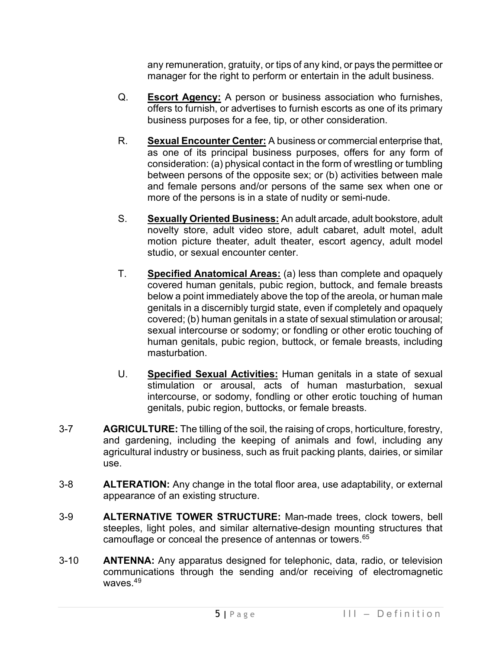any remuneration, gratuity, or tips of any kind, or pays the permittee or manager for the right to perform or entertain in the adult business.

- Q. **Escort Agency:** A person or business association who furnishes, offers to furnish, or advertises to furnish escorts as one of its primary business purposes for a fee, tip, or other consideration.
- R. **Sexual Encounter Center:** A business or commercial enterprise that, as one of its principal business purposes, offers for any form of consideration: (a) physical contact in the form of wrestling or tumbling between persons of the opposite sex; or (b) activities between male and female persons and/or persons of the same sex when one or more of the persons is in a state of nudity or semi-nude.
- S. **Sexually Oriented Business:** An adult arcade, adult bookstore, adult novelty store, adult video store, adult cabaret, adult motel, adult motion picture theater, adult theater, escort agency, adult model studio, or sexual encounter center.
- T. **Specified Anatomical Areas:** (a) less than complete and opaquely covered human genitals, pubic region, buttock, and female breasts below a point immediately above the top of the areola, or human male genitals in a discernibly turgid state, even if completely and opaquely covered; (b) human genitals in a state of sexual stimulation or arousal; sexual intercourse or sodomy; or fondling or other erotic touching of human genitals, pubic region, buttock, or female breasts, including masturbation.
- U. **Specified Sexual Activities:** Human genitals in a state of sexual stimulation or arousal, acts of human masturbation, sexual intercourse, or sodomy, fondling or other erotic touching of human genitals, pubic region, buttocks, or female breasts.
- 3-7 **AGRICULTURE:** The tilling of the soil, the raising of crops, horticulture, forestry, and gardening, including the keeping of animals and fowl, including any agricultural industry or business, such as fruit packing plants, dairies, or similar use.
- 3-8 **ALTERATION:** Any change in the total floor area, use adaptability, or external appearance of an existing structure.
- 3-9 **ALTERNATIVE TOWER STRUCTURE:** Man-made trees, clock towers, bell steeples, light poles, and similar alternative-design mounting structures that camouflage or conceal the presence of antennas or towers.<sup>[65](#page-27-2)</sup>
- 3-10 **ANTENNA:** Any apparatus designed for telephonic, data, radio, or television communications through the sending and/or receiving of electromagnetic waves.<sup>4[9](#page-27-3)</sup>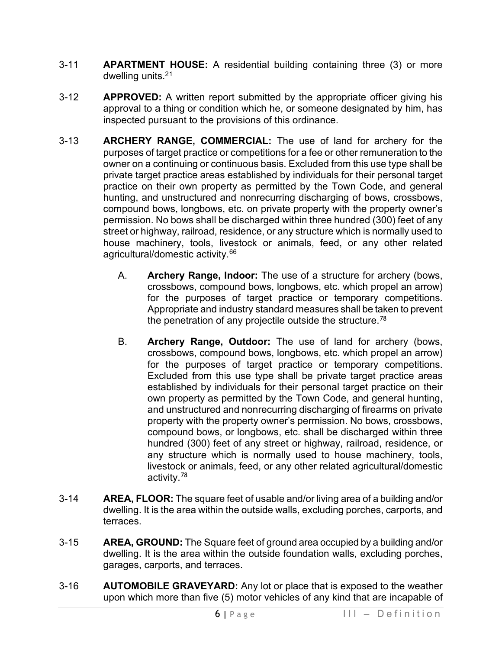- 3-11 **APARTMENT HOUSE:** A residential building containing three (3) or more dwelling units.2[1](#page-27-4)
- 3-12 **APPROVED:** A written report submitted by the appropriate officer giving his approval to a thing or condition which he, or someone designated by him, has inspected pursuant to the provisions of this ordinance.
- 3-13 **ARCHERY RANGE, COMMERCIAL:** The use of land for archery for the purposes of target practice or competitions for a fee or other remuneration to the owner on a continuing or continuous basis. Excluded from this use type shall be private target practice areas established by individuals for their personal target practice on their own property as permitted by the Town Code, and general hunting, and unstructured and nonrecurring discharging of bows, crossbows, compound bows, longbows, etc. on private property with the property owner's permission. No bows shall be discharged within three hundred (300) feet of any street or highway, railroad, residence, or any structure which is normally used to house machinery, tools, livestock or animals, feed, or any other related agricultural/domestic activity.<sup>[66](#page-27-5)</sup>
	- A. **Archery Range, Indoor:** The use of a structure for archery (bows, crossbows, compound bows, longbows, etc. which propel an arrow) for the purposes of target practice or temporary competitions. Appropriate and industry standard measures shall be taken to prevent the penetration of any projectile outside the structure.<sup>[78](#page-27-6)</sup>
	- B. **Archery Range, Outdoor:** The use of land for archery (bows, crossbows, compound bows, longbows, etc. which propel an arrow) for the purposes of target practice or temporary competitions. Excluded from this use type shall be private target practice areas established by individuals for their personal target practice on their own property as permitted by the Town Code, and general hunting, and unstructured and nonrecurring discharging of firearms on private property with the property owner's permission. No bows, crossbows, compound bows, or longbows, etc. shall be discharged within three hundred (300) feet of any street or highway, railroad, residence, or any structure which is normally used to house machinery, tools, livestock or animals, feed, or any other related agricultural/domestic activity.[78](#page-27-7)
- 3-14 **AREA, FLOOR:** The square feet of usable and/or living area of a building and/or dwelling. It is the area within the outside walls, excluding porches, carports, and terraces.
- 3-15 **AREA, GROUND:** The Square feet of ground area occupied by a building and/or dwelling. It is the area within the outside foundation walls, excluding porches, garages, carports, and terraces.
- 3-16 **AUTOMOBILE GRAVEYARD:** Any lot or place that is exposed to the weather upon which more than five (5) motor vehicles of any kind that are incapable of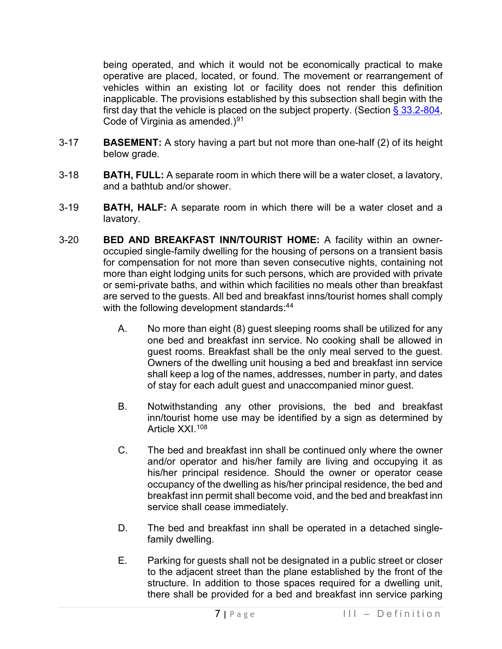being operated, and which it would not be economically practical to make operative are placed, located, or found. The movement or rearrangement of vehicles within an existing lot or facility does not render this definition inapplicable. The provisions established by this subsection shall begin with the first day that the vehicle is placed on the subject property. (Section  $\S$  33.2-804, Code of Virginia as amended.) $91$ 

- 3-17 **BASEMENT:** A story having a part but not more than one-half (2) of its height below grade.
- 3-18 **BATH, FULL:** A separate room in which there will be a water closet, a lavatory, and a bathtub and/or shower.
- 3-19 **BATH, HALF:** A separate room in which there will be a water closet and a lavatory.
- 3-20 **BED AND BREAKFAST INN/TOURIST HOME:** A facility within an owneroccupied single-family dwelling for the housing of persons on a transient basis for compensation for not more than seven consecutive nights, containing not more than eight lodging units for such persons, which are provided with private or semi-private baths, and within which facilities no meals other than breakfast are served to the guests. All bed and breakfast inns/tourist homes shall comply with the following development standards: [4](#page-27-9)4
	- A. No more than eight (8) guest sleeping rooms shall be utilized for any one bed and breakfast inn service. No cooking shall be allowed in guest rooms. Breakfast shall be the only meal served to the guest. Owners of the dwelling unit housing a bed and breakfast inn service shall keep a log of the names, addresses, number in party, and dates of stay for each adult guest and unaccompanied minor guest.
	- B. Notwithstanding any other provisions, the bed and breakfast inn/tourist home use may be identified by a sign as determined by Article XXI.<sup>[108](#page-27-10)</sup>
	- C. The bed and breakfast inn shall be continued only where the owner and/or operator and his/her family are living and occupying it as his/her principal residence. Should the owner or operator cease occupancy of the dwelling as his/her principal residence, the bed and breakfast inn permit shall become void, and the bed and breakfast inn service shall cease immediately.
	- D. The bed and breakfast inn shall be operated in a detached singlefamily dwelling.
	- E. Parking for guests shall not be designated in a public street or closer to the adjacent street than the plane established by the front of the structure. In addition to those spaces required for a dwelling unit, there shall be provided for a bed and breakfast inn service parking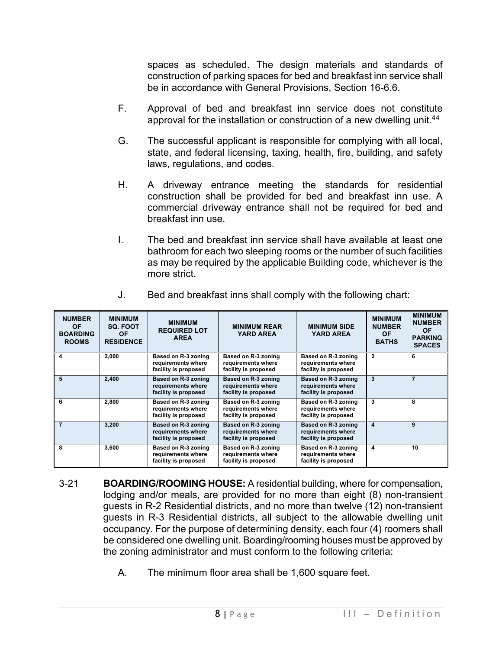spaces as scheduled. The design materials and standards of construction of parking spaces for bed and breakfast inn service shall be in accordance with General Provisions, Section 16-6.6.

- F. Approval of bed and breakfast inn service does not constitute approval for the installation or construction of a new dwelling unit.<sup>[4](#page-27-11)4</sup>
- G. The successful applicant is responsible for complying with all local, state, and federal licensing, taxing, health, fire, building, and safety laws, regulations, and codes.
- H. A driveway entrance meeting the standards for residential construction shall be provided for bed and breakfast inn use. A commercial driveway entrance shall not be required for bed and breakfast inn use.
- I. The bed and breakfast inn service shall have available at least one bathroom for each two sleeping rooms or the number of such facilities as may be required by the applicable Building code, whichever is the more strict.

| <b>NUMBER</b><br><b>OF</b><br><b>BOARDING</b><br><b>ROOMS</b> | <b>MINIMUM</b><br><b>SQ. FOOT</b><br><b>OF</b><br><b>RESIDENCE</b> | <b>MINIMUM</b><br><b>REQUIRED LOT</b><br><b>AREA</b>              | <b>MINIMUM REAR</b><br><b>YARD AREA</b>                           | <b>MINIMUM SIDE</b><br><b>YARD AREA</b>                           | <b>MINIMUM</b><br><b>NUMBER</b><br><b>OF</b><br><b>BATHS</b> | <b>MINIMUM</b><br><b>NUMBER</b><br><b>OF</b><br><b>PARKING</b><br><b>SPACES</b> |
|---------------------------------------------------------------|--------------------------------------------------------------------|-------------------------------------------------------------------|-------------------------------------------------------------------|-------------------------------------------------------------------|--------------------------------------------------------------|---------------------------------------------------------------------------------|
|                                                               | 2,000                                                              | Based on R-3 zoning<br>requirements where<br>facility is proposed | Based on R-3 zoning<br>requirements where<br>facility is proposed | Based on R-3 zoning<br>requirements where<br>facility is proposed | $\overline{2}$                                               | 6                                                                               |
| 5                                                             | 2,400                                                              | Based on R-3 zoning<br>requirements where<br>facility is proposed | Based on R-3 zoning<br>requirements where<br>facility is proposed | Based on R-3 zoning<br>requirements where<br>facility is proposed | 3                                                            | 7                                                                               |
| 6                                                             | 2,800                                                              | Based on R-3 zoning<br>requirements where<br>facility is proposed | Based on R-3 zoning<br>requirements where<br>facility is proposed | Based on R-3 zoning<br>requirements where<br>facility is proposed | 3                                                            | 8                                                                               |
|                                                               | 3,200                                                              | Based on R-3 zoning<br>requirements where<br>facility is proposed | Based on R-3 zoning<br>requirements where<br>facility is proposed | Based on R-3 zoning<br>requirements where<br>facility is proposed | $\overline{\mathbf{4}}$                                      | 9                                                                               |
| 8                                                             | 3,600                                                              | Based on R-3 zoning<br>requirements where<br>facility is proposed | Based on R-3 zoning<br>requirements where<br>facility is proposed | Based on R-3 zoning<br>requirements where<br>facility is proposed | 4                                                            | 10                                                                              |

J. Bed and breakfast inns shall comply with the following chart:

- 3-21 **BOARDING/ROOMING HOUSE:** A residential building, where for compensation, lodging and/or meals, are provided for no more than eight (8) non-transient guests in R-2 Residential districts, and no more than twelve (12) non-transient guests in R-3 Residential districts, all subject to the allowable dwelling unit occupancy. For the purpose of determining density, each four (4) roomers shall be considered one dwelling unit. Boarding/rooming houses must be approved by the zoning administrator and must conform to the following criteria:
	- A. The minimum floor area shall be 1,600 square feet.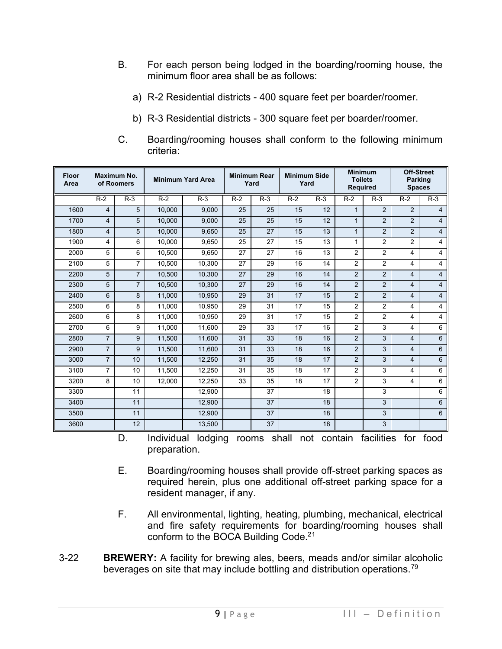- B. For each person being lodged in the boarding/rooming house, the minimum floor area shall be as follows:
	- a) R-2 Residential districts 400 square feet per boarder/roomer.
	- b) R-3 Residential districts 300 square feet per boarder/roomer.
- C. Boarding/rooming houses shall conform to the following minimum criteria:

|      |                |                |        | <b>Minimum Yard Area</b> |       | <b>Minimum Rear</b><br>Yard | <b>Minimum Side</b><br>Yard |       | <b>Toilets</b><br><b>Required</b> |                | Parking<br><b>Spaces</b> | <b>Off-Street</b> |
|------|----------------|----------------|--------|--------------------------|-------|-----------------------------|-----------------------------|-------|-----------------------------------|----------------|--------------------------|-------------------|
|      | $R-2$          | $R-3$          | $R-2$  | $R-3$                    | $R-2$ | $R-3$                       | $R-2$                       | $R-3$ | $R-2$                             | $R-3$          | $R-2$                    | $R-3$             |
| 1600 | $\overline{4}$ | 5              | 10.000 | 9.000                    | 25    | 25                          | 15                          | 12    | $\mathbf{1}$                      | 2              | $\overline{2}$           | 4                 |
| 1700 | $\overline{4}$ | 5              | 10,000 | 9,000                    | 25    | 25                          | 15                          | 12    | $\mathbf{1}$                      | $\overline{2}$ | 2                        | $\overline{4}$    |
| 1800 | $\overline{4}$ | 5              | 10,000 | 9,650                    | 25    | 27                          | 15                          | 13    | $\mathbf{1}$                      | 2              | $\overline{2}$           | 4                 |
| 1900 | 4              | 6              | 10,000 | 9,650                    | 25    | 27                          | 15                          | 13    | 1                                 | $\overline{2}$ | $\overline{2}$           | 4                 |
| 2000 | 5              | 6              | 10.500 | 9.650                    | 27    | 27                          | 16                          | 13    | $\overline{2}$                    | 2              | 4                        | 4                 |
| 2100 | 5              | $\overline{7}$ | 10,500 | 10,300                   | 27    | 29                          | 16                          | 14    | $\overline{2}$                    | 2              | $\overline{4}$           | 4                 |
| 2200 | 5              | $\overline{7}$ | 10,500 | 10,300                   | 27    | 29                          | 16                          | 14    | $\overline{2}$                    | 2              | $\overline{4}$           | 4                 |
| 2300 | 5              | $\overline{7}$ | 10,500 | 10,300                   | 27    | 29                          | 16                          | 14    | $\overline{2}$                    | $\overline{2}$ | 4                        | $\overline{4}$    |
| 2400 | 6              | 8              | 11.000 | 10,950                   | 29    | 31                          | 17                          | 15    | $\overline{2}$                    | $\overline{2}$ | $\overline{4}$           | $\overline{4}$    |
| 2500 | 6              | 8              | 11,000 | 10,950                   | 29    | 31                          | 17                          | 15    | $\overline{2}$                    | 2              | 4                        | 4                 |
| 2600 | 6              | 8              | 11,000 | 10,950                   | 29    | 31                          | 17                          | 15    | $\overline{2}$                    | $\overline{2}$ | 4                        | 4                 |
| 2700 | 6              | 9              | 11.000 | 11.600                   | 29    | 33                          | 17                          | 16    | $\overline{2}$                    | 3              | 4                        | 6                 |
| 2800 | $\overline{7}$ | 9              | 11,500 | 11,600                   | 31    | 33                          | 18                          | 16    | $\overline{2}$                    | 3              | $\overline{4}$           | 6                 |
| 2900 | $\overline{7}$ | 9              | 11,500 | 11,600                   | 31    | 33                          | 18                          | 16    | $\overline{2}$                    | 3              | $\overline{4}$           | 6                 |
| 3000 | $\overline{7}$ | 10             | 11,500 | 12,250                   | 31    | 35                          | 18                          | 17    | $\overline{2}$                    | 3              | $\overline{4}$           | 6                 |
| 3100 | $\overline{7}$ | 10             | 11,500 | 12,250                   | 31    | 35                          | 18                          | 17    | $\overline{2}$                    | 3              | 4                        | 6                 |
| 3200 | 8              | 10             | 12,000 | 12,250                   | 33    | 35                          | 18                          | 17    | $\overline{2}$                    | 3              | 4                        | 6                 |
| 3300 |                | 11             |        | 12,900                   |       | 37                          |                             | 18    |                                   | 3              |                          | 6                 |
| 3400 |                | 11             |        | 12,900                   |       | 37                          |                             | 18    |                                   | 3              |                          | 6                 |
| 3500 |                | 11             |        | 12,900                   |       | 37                          |                             | 18    |                                   | 3              |                          | 6                 |
| 3600 |                | 12             |        | 13,500                   |       | 37                          |                             | 18    |                                   | 3              |                          |                   |

D. Individual lodging rooms shall not contain facilities for food preparation.

- E. Boarding/rooming houses shall provide off-street parking spaces as required herein, plus one additional off-street parking space for a resident manager, if any.
- F. All environmental, lighting, heating, plumbing, mechanical, electrical and fire safety requirements for boarding/rooming houses shall conform to the BOCA Building Code.2[1](#page-27-12)
- 3-22 **BREWERY:** A facility for brewing ales, beers, meads and/or similar alcoholic beverages on site that may include bottling and distribution operations.[79](#page-27-13)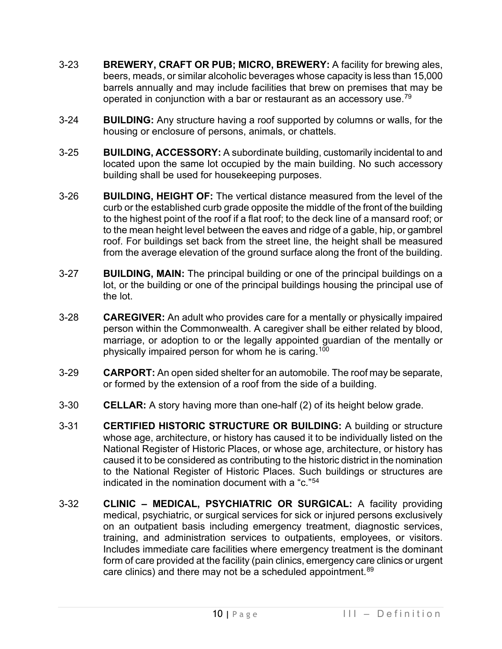- 3-23 **BREWERY, CRAFT OR PUB; MICRO, BREWERY:** A facility for brewing ales, beers, meads, or similar alcoholic beverages whose capacity is less than 15,000 barrels annually and may include facilities that brew on premises that may be operated in conjunction with a bar or restaurant as an accessory use.<sup>79</sup>
- 3-24 **BUILDING:** Any structure having a roof supported by columns or walls, for the housing or enclosure of persons, animals, or chattels.
- 3-25 **BUILDING, ACCESSORY:** A subordinate building, customarily incidental to and located upon the same lot occupied by the main building. No such accessory building shall be used for housekeeping purposes.
- 3-26 **BUILDING, HEIGHT OF:** The vertical distance measured from the level of the curb or the established curb grade opposite the middle of the front of the building to the highest point of the roof if a flat roof; to the deck line of a mansard roof; or to the mean height level between the eaves and ridge of a gable, hip, or gambrel roof. For buildings set back from the street line, the height shall be measured from the average elevation of the ground surface along the front of the building.
- 3-27 **BUILDING, MAIN:** The principal building or one of the principal buildings on a lot, or the building or one of the principal buildings housing the principal use of the lot.
- 3-28 **CAREGIVER:** An adult who provides care for a mentally or physically impaired person within the Commonwealth. A caregiver shall be either related by blood, marriage, or adoption to or the legally appointed guardian of the mentally or physically impaired person for whom he is caring.<sup>[100](#page-27-15)</sup>
- 3-29 **CARPORT:** An open sided shelter for an automobile. The roof may be separate, or formed by the extension of a roof from the side of a building.
- 3-30 **CELLAR:** A story having more than one-half (2) of its height below grade.
- 3-31 **CERTIFIED HISTORIC STRUCTURE OR BUILDING:** A building or structure whose age, architecture, or history has caused it to be individually listed on the National Register of Historic Places, or whose age, architecture, or history has caused it to be considered as contributing to the historic district in the nomination to the National Register of Historic Places. Such buildings or structures are indicated in the nomination document with a "c."[54](#page-27-16)
- 3-32 **CLINIC – MEDICAL, PSYCHIATRIC OR SURGICAL:** A facility providing medical, psychiatric, or surgical services for sick or injured persons exclusively on an outpatient basis including emergency treatment, diagnostic services, training, and administration services to outpatients, employees, or visitors. Includes immediate care facilities where emergency treatment is the dominant form of care provided at the facility (pain clinics, emergency care clinics or urgent care clinics) and there may not be a scheduled appointment.<sup>[89](#page-27-17)</sup>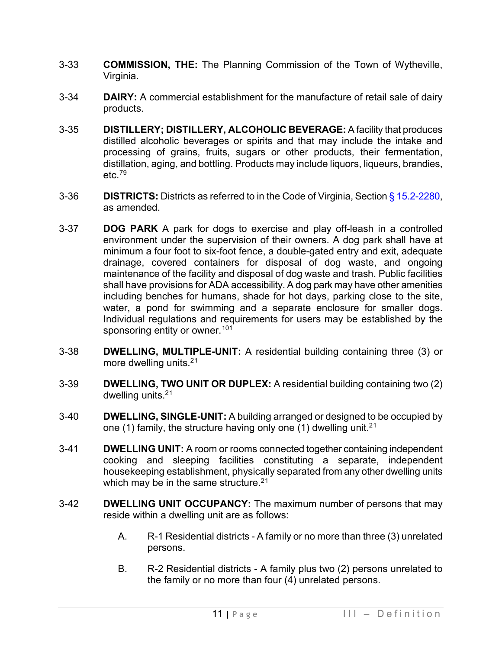- 3-33 **COMMISSION, THE:** The Planning Commission of the Town of Wytheville, Virginia.
- 3-34 **DAIRY:** A commercial establishment for the manufacture of retail sale of dairy products.
- 3-35 **DISTILLERY; DISTILLERY, ALCOHOLIC BEVERAGE:** A facility that produces distilled alcoholic beverages or spirits and that may include the intake and processing of grains, fruits, sugars or other products, their fermentation, distillation, aging, and bottling. Products may include liquors, liqueurs, brandies,  $etc.79$  $etc.79$
- 3-36 **DISTRICTS:** Districts as referred to in the Code of Virginia, Sectio[n § 15.2-2280,](https://law.lis.virginia.gov/vacode/title15.2/chapter22/section15.2-2280/) as amended.
- 3-37 **DOG PARK** A [park](https://en.wikipedia.org/wiki/Park) for [dogs](https://en.wikipedia.org/wiki/Dog) to exercise and play off-leash in a controlled environment under the supervision of their owners. A dog park shall have at minimum a four foot to six-foot fence, a double-gated entry and exit, adequate drainage, covered containers for disposal of dog waste, and ongoing maintenance of the facility and disposal of dog waste and trash. Public facilities shall have provisions for ADA accessibility. A dog park may have other amenities including benches for humans, shade for hot days, parking close to the site, water, a pond for swimming and a separate enclosure for smaller dogs. Individual regulations and requirements for users may be established by the sponsoring entity or owner.<sup>[101](#page-27-19)</sup>
- 3-38 **DWELLING, MULTIPLE-UNIT:** A residential building containing three (3) or more dwelling units.<sup>2[1](#page-27-20)</sup>
- 3-39 **DWELLING, TWO UNIT OR DUPLEX:** A residential building containing two (2) dwelling units.2[1](#page-27-21)
- 3-40 **DWELLING, SINGLE-UNIT:** A building arranged or designed to be occupied by one ([1](#page-27-22)) family, the structure having only one (1) dwelling unit.<sup>21</sup>
- 3-41 **DWELLING UNIT:** A room or rooms connected together containing independent cooking and sleeping facilities constituting a separate, independent housekeeping establishment, physically separated from any other dwelling units which may be in the same structure.<sup>2[1](#page-27-23)</sup>
- 3-42 **DWELLING UNIT OCCUPANCY:** The maximum number of persons that may reside within a dwelling unit are as follows:
	- A. R-1 Residential districts A family or no more than three (3) unrelated persons.
	- B. R-2 Residential districts A family plus two (2) persons unrelated to the family or no more than four (4) unrelated persons.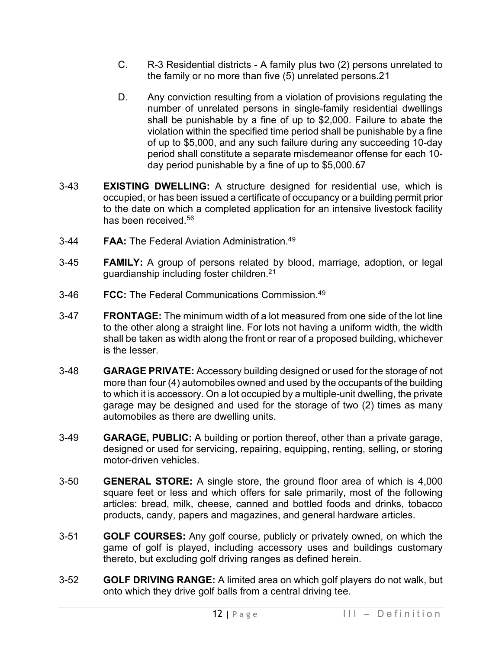- C. R-3 Residential districts A family plus two (2) persons unrelated to the family or no more than five (5) unrelated persons.2[1](#page-27-24)
- D. Any conviction resulting from a violation of provisions regulating the number of unrelated persons in single-family residential dwellings shall be punishable by a fine of up to \$2,000. Failure to abate the violation within the specified time period shall be punishable by a fine of up to \$5,000, and any such failure during any succeeding 10-day period shall constitute a separate misdemeanor offense for each 10 day period punishable by a fine of up to \$5,000.[67](#page-27-25)
- 3-43 **EXISTING DWELLING:** A structure designed for residential use, which is occupied, or has been issued a certificate of occupancy or a building permit prior to the date on which a completed application for an intensive livestock facility has been received.<sup>[56](#page-27-26)</sup>
- 3-44 **FAA:** The Federal Aviation Administration.[49](#page-27-27)
- 3-45 **FAMILY:** A group of persons related by blood, marriage, adoption, or legal guardianship including foster children.[21](#page-27-28)
- 3-46 **FCC:** The Federal Communications Commission.4[9](#page-27-29)
- 3-47 **FRONTAGE:** The minimum width of a lot measured from one side of the lot line to the other along a straight line. For lots not having a uniform width, the width shall be taken as width along the front or rear of a proposed building, whichever is the lesser.
- 3-48 **GARAGE PRIVATE:** Accessory building designed or used for the storage of not more than four (4) automobiles owned and used by the occupants of the building to which it is accessory. On a lot occupied by a multiple-unit dwelling, the private garage may be designed and used for the storage of two (2) times as many automobiles as there are dwelling units.
- 3-49 **GARAGE, PUBLIC:** A building or portion thereof, other than a private garage, designed or used for servicing, repairing, equipping, renting, selling, or storing motor-driven vehicles.
- 3-50 **GENERAL STORE:** A single store, the ground floor area of which is 4,000 square feet or less and which offers for sale primarily, most of the following articles: bread, milk, cheese, canned and bottled foods and drinks, tobacco products, candy, papers and magazines, and general hardware articles.
- 3-51 **GOLF COURSES:** Any golf course, publicly or privately owned, on which the game of golf is played, including accessory uses and buildings customary thereto, but excluding golf driving ranges as defined herein.
- 3-52 **GOLF DRIVING RANGE:** A limited area on which golf players do not walk, but onto which they drive golf balls from a central driving tee.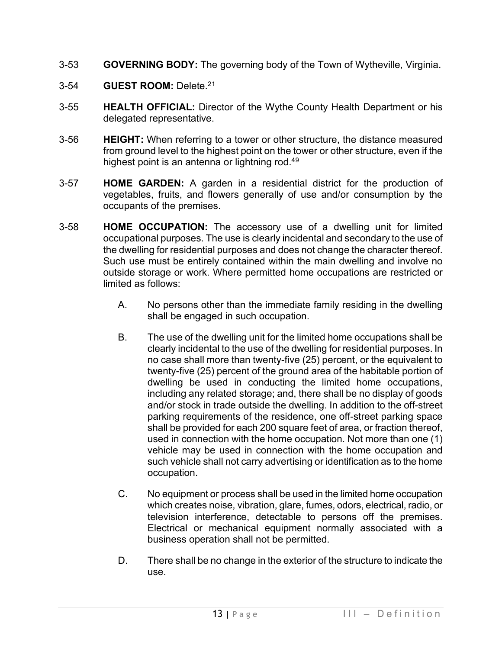- 3-53 **GOVERNING BODY:** The governing body of the Town of Wytheville, Virginia.
- 3-54 **GUEST ROOM:** Delete.2[1](#page-27-30)
- 3-55 **HEALTH OFFICIAL:** Director of the Wythe County Health Department or his delegated representative.
- 3-56 **HEIGHT:** When referring to a tower or other structure, the distance measured from ground level to the highest point on the tower or other structure, even if the highest point is an antenna or lightning rod.<sup>[49](#page-27-31)</sup>
- 3-57 **HOME GARDEN:** A garden in a residential district for the production of vegetables, fruits, and flowers generally of use and/or consumption by the occupants of the premises.
- 3-58 **HOME OCCUPATION:** The accessory use of a dwelling unit for limited occupational purposes. The use is clearly incidental and secondary to the use of the dwelling for residential purposes and does not change the character thereof. Such use must be entirely contained within the main dwelling and involve no outside storage or work. Where permitted home occupations are restricted or limited as follows:
	- A. No persons other than the immediate family residing in the dwelling shall be engaged in such occupation.
	- B. The use of the dwelling unit for the limited home occupations shall be clearly incidental to the use of the dwelling for residential purposes. In no case shall more than twenty-five (25) percent, or the equivalent to twenty-five (25) percent of the ground area of the habitable portion of dwelling be used in conducting the limited home occupations, including any related storage; and, there shall be no display of goods and/or stock in trade outside the dwelling. In addition to the off-street parking requirements of the residence, one off-street parking space shall be provided for each 200 square feet of area, or fraction thereof, used in connection with the home occupation. Not more than one (1) vehicle may be used in connection with the home occupation and such vehicle shall not carry advertising or identification as to the home occupation.
	- C. No equipment or process shall be used in the limited home occupation which creates noise, vibration, glare, fumes, odors, electrical, radio, or television interference, detectable to persons off the premises. Electrical or mechanical equipment normally associated with a business operation shall not be permitted.
	- D. There shall be no change in the exterior of the structure to indicate the use.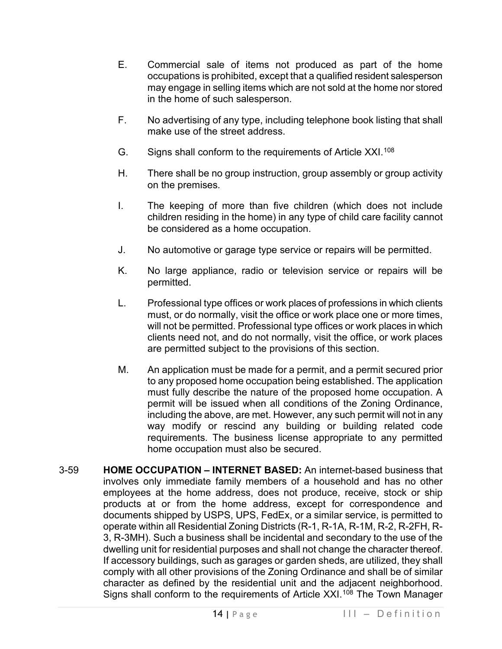- E. Commercial sale of items not produced as part of the home occupations is prohibited, except that a qualified resident salesperson may engage in selling items which are not sold at the home nor stored in the home of such salesperson.
- F. No advertising of any type, including telephone book listing that shall make use of the street address.
- G. Signs shall conform to the requirements of Article XXI. $^{108}$  $^{108}$  $^{108}$
- H. There shall be no group instruction, group assembly or group activity on the premises.
- I. The keeping of more than five children (which does not include children residing in the home) in any type of child care facility cannot be considered as a home occupation.
- J. No automotive or garage type service or repairs will be permitted.
- K. No large appliance, radio or television service or repairs will be permitted.
- L. Professional type offices or work places of professions in which clients must, or do normally, visit the office or work place one or more times, will not be permitted. Professional type offices or work places in which clients need not, and do not normally, visit the office, or work places are permitted subject to the provisions of this section.
- M. An application must be made for a permit, and a permit secured prior to any proposed home occupation being established. The application must fully describe the nature of the proposed home occupation. A permit will be issued when all conditions of the Zoning Ordinance, including the above, are met. However, any such permit will not in any way modify or rescind any building or building related code requirements. The business license appropriate to any permitted home occupation must also be secured.
- 3-59 **HOME OCCUPATION – INTERNET BASED:** An internet-based business that involves only immediate family members of a household and has no other employees at the home address, does not produce, receive, stock or ship products at or from the home address, except for correspondence and documents shipped by USPS, UPS, FedEx, or a similar service, is permitted to operate within all Residential Zoning Districts (R-1, R-1A, R-1M, R-2, R-2FH, R-3, R-3MH). Such a business shall be incidental and secondary to the use of the dwelling unit for residential purposes and shall not change the character thereof. If accessory buildings, such as garages or garden sheds, are utilized, they shall comply with all other provisions of the Zoning Ordinance and shall be of similar character as defined by the residential unit and the adjacent neighborhood. Signs shall conform to the requirements of Article XXI. [108](#page-27-33) The Town Manager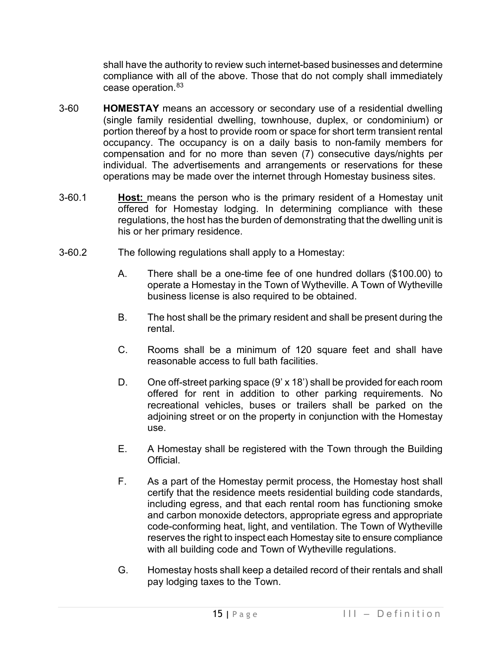shall have the authority to review such internet-based businesses and determine compliance with all of the above. Those that do not comply shall immediately cease operation.<sup>[83](#page-27-34)</sup>

- 3-60 **HOMESTAY** means an accessory or secondary use of a residential dwelling (single family residential dwelling, townhouse, duplex, or condominium) or portion thereof by a host to provide room or space for short term transient rental occupancy. The occupancy is on a daily basis to non-family members for compensation and for no more than seven (7) consecutive days/nights per individual. The advertisements and arrangements or reservations for these operations may be made over the internet through Homestay business sites.
- 3-60.1 **Host:** means the person who is the primary resident of a Homestay unit offered for Homestay lodging. In determining compliance with these regulations, the host has the burden of demonstrating that the dwelling unit is his or her primary residence.
- 3-60.2 The following regulations shall apply to a Homestay:
	- A. There shall be a one-time fee of one hundred dollars (\$100.00) to operate a Homestay in the Town of Wytheville. A Town of Wytheville business license is also required to be obtained.
	- B. The host shall be the primary resident and shall be present during the rental.
	- C. Rooms shall be a minimum of 120 square feet and shall have reasonable access to full bath facilities.
	- D. One off-street parking space (9' x 18') shall be provided for each room offered for rent in addition to other parking requirements. No recreational vehicles, buses or trailers shall be parked on the adjoining street or on the property in conjunction with the Homestay use.
	- E. A Homestay shall be registered with the Town through the Building Official.
	- F. As a part of the Homestay permit process, the Homestay host shall certify that the residence meets residential building code standards, including egress, and that each rental room has functioning smoke and carbon monoxide detectors, appropriate egress and appropriate code-conforming heat, light, and ventilation. The Town of Wytheville reserves the right to inspect each Homestay site to ensure compliance with all building code and Town of Wytheville regulations.
	- G. Homestay hosts shall keep a detailed record of their rentals and shall pay lodging taxes to the Town.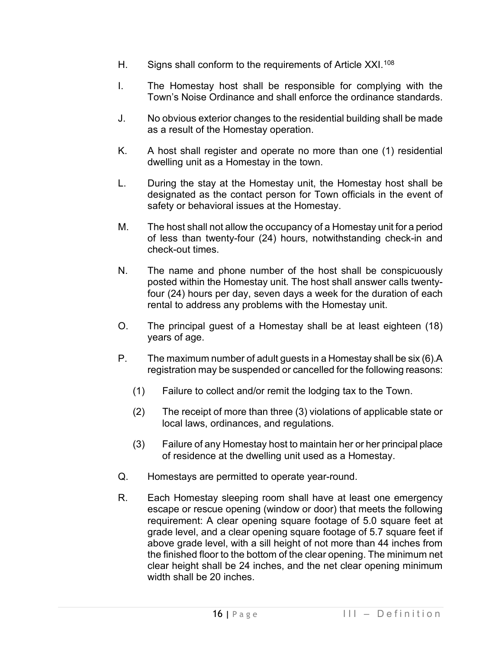- H. Signs shall conform to the requirements of Article XXI.<sup>[108](#page-27-35)</sup>
- I. The Homestay host shall be responsible for complying with the Town's Noise Ordinance and shall enforce the ordinance standards.
- J. No obvious exterior changes to the residential building shall be made as a result of the Homestay operation.
- K. A host shall register and operate no more than one (1) residential dwelling unit as a Homestay in the town.
- L. During the stay at the Homestay unit, the Homestay host shall be designated as the contact person for Town officials in the event of safety or behavioral issues at the Homestay.
- M. The host shall not allow the occupancy of a Homestay unit for a period of less than twenty-four (24) hours, notwithstanding check-in and check-out times.
- N. The name and phone number of the host shall be conspicuously posted within the Homestay unit. The host shall answer calls twentyfour (24) hours per day, seven days a week for the duration of each rental to address any problems with the Homestay unit.
- O. The principal guest of a Homestay shall be at least eighteen (18) years of age.
- P. The maximum number of adult guests in a Homestay shall be six (6).A registration may be suspended or cancelled for the following reasons:
	- (1) Failure to collect and/or remit the lodging tax to the Town.
	- (2) The receipt of more than three (3) violations of applicable state or local laws, ordinances, and regulations.
	- (3) Failure of any Homestay host to maintain her or her principal place of residence at the dwelling unit used as a Homestay.
- Q. Homestays are permitted to operate year-round.
- R. Each Homestay sleeping room shall have at least one emergency escape or rescue opening (window or door) that meets the following requirement: A clear opening square footage of 5.0 square feet at grade level, and a clear opening square footage of 5.7 square feet if above grade level, with a sill height of not more than 44 inches from the finished floor to the bottom of the clear opening. The minimum net clear height shall be 24 inches, and the net clear opening minimum width shall be 20 inches.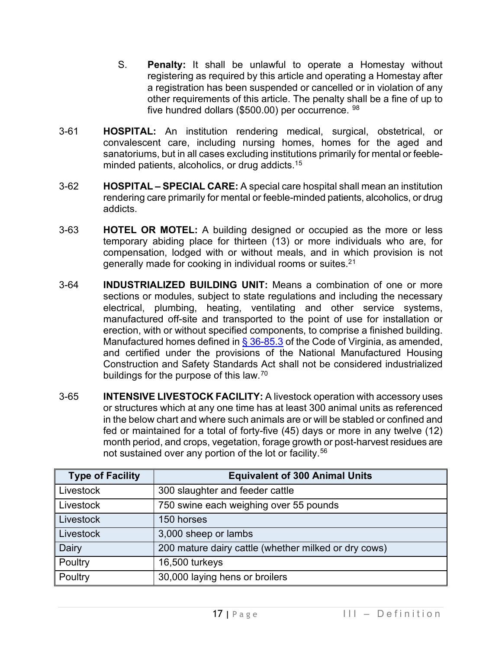- S. **Penalty:** It shall be unlawful to operate a Homestay without registering as required by this article and operating a Homestay after a registration has been suspended or cancelled or in violation of any other requirements of this article. The penalty shall be a fine of up to five hundred dollars (\$500.00) per occurrence. [98](#page-27-36)
- 3-61 **HOSPITAL:** An institution rendering medical, surgical, obstetrical, or convalescent care, including nursing homes, homes for the aged and sanatoriums, but in all cases excluding institutions primarily for mental or feebleminded patients, alcoholics, or drug addicts.[15](#page-27-37)
- 3-62 **HOSPITAL SPECIAL CARE:** A special care hospital shall mean an institution rendering care primarily for mental or feeble-minded patients, alcoholics, or drug addicts.
- 3-63 **HOTEL OR MOTEL:** A building designed or occupied as the more or less temporary abiding place for thirteen (13) or more individuals who are, for compensation, lodged with or without meals, and in which provision is not generally made for cooking in individual rooms or suites.2[1](#page-27-38)
- 3-64 **INDUSTRIALIZED BUILDING UNIT:** Means a combination of one or more sections or modules, subject to state regulations and including the necessary electrical, plumbing, heating, ventilating and other service systems, manufactured off-site and transported to the point of use for installation or erection, with or without specified components, to comprise a finished building. Manufactured homes defined in [§ 36-85.3](https://law.lis.virginia.gov/vacode/title36/chapter4.1/section36-85.3/) of the Code of Virginia, as amended, and certified under the provisions of the National Manufactured Housing Construction and Safety Standards Act shall not be considered industrialized buildings for the purpose of this law.[70](#page-27-39)
- 3-65 **INTENSIVE LIVESTOCK FACILITY:** A livestock operation with accessory uses or structures which at any one time has at least 300 animal units as referenced in the below chart and where such animals are or will be stabled or confined and fed or maintained for a total of forty-five (45) days or more in any twelve (12) month period, and crops, vegetation, forage growth or post-harvest residues are not sustained over any portion of the lot or facility.<sup>[56](#page-27-40)</sup>

| <b>Type of Facility</b> | <b>Equivalent of 300 Animal Units</b>                |
|-------------------------|------------------------------------------------------|
| Livestock               | 300 slaughter and feeder cattle                      |
| Livestock               | 750 swine each weighing over 55 pounds               |
| Livestock               | 150 horses                                           |
| Livestock               | 3,000 sheep or lambs                                 |
| Dairy                   | 200 mature dairy cattle (whether milked or dry cows) |
| Poultry                 | 16,500 turkeys                                       |
| Poultry                 | 30,000 laying hens or broilers                       |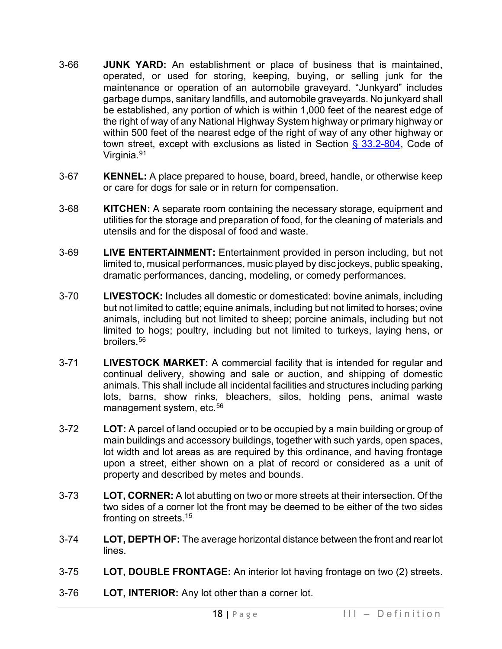- 3-66 **JUNK YARD:** An establishment or place of business that is maintained, operated, or used for storing, keeping, buying, or selling junk for the maintenance or operation of an automobile graveyard. "Junkyard" includes garbage dumps, sanitary landfills, and automobile graveyards. No junkyard shall be established, any portion of which is within 1,000 feet of the nearest edge of the right of way of any National Highway System highway or primary highway or within 500 feet of the nearest edge of the right of way of any other highway or town street, except with exclusions as listed in Section  $\S$  33.2-804, Code of Virginia.[91](#page-27-41)
- 3-67 **KENNEL:** A place prepared to house, board, breed, handle, or otherwise keep or care for dogs for sale or in return for compensation.
- 3-68 **KITCHEN:** A separate room containing the necessary storage, equipment and utilities for the storage and preparation of food, for the cleaning of materials and utensils and for the disposal of food and waste.
- 3-69 **LIVE ENTERTAINMENT:** Entertainment provided in person including, but not limited to, musical performances, music played by disc jockeys, public speaking, dramatic performances, dancing, modeling, or comedy performances.
- 3-70 **LIVESTOCK:** Includes all domestic or domesticated: bovine animals, including but not limited to cattle; equine animals, including but not limited to horses; ovine animals, including but not limited to sheep; porcine animals, including but not limited to hogs; poultry, including but not limited to turkeys, laying hens, or broilers.<sup>[56](#page-27-42)</sup>
- 3-71 **LIVESTOCK MARKET:** A commercial facility that is intended for regular and continual delivery, showing and sale or auction, and shipping of domestic animals. This shall include all incidental facilities and structures including parking lots, barns, show rinks, bleachers, silos, holding pens, animal waste management system, etc.<sup>[56](#page-27-43)</sup>
- 3-72 **LOT:** A parcel of land occupied or to be occupied by a main building or group of main buildings and accessory buildings, together with such yards, open spaces, lot width and lot areas as are required by this ordinance, and having frontage upon a street, either shown on a plat of record or considered as a unit of property and described by metes and bounds.
- 3-73 **LOT, CORNER:** A lot abutting on two or more streets at their intersection. Of the two sides of a corner lot the front may be deemed to be either of the two sides fronting on streets.1[5](#page-27-44)
- 3-74 **LOT, DEPTH OF:** The average horizontal distance between the front and rear lot lines.
- 3-75 **LOT, DOUBLE FRONTAGE:** An interior lot having frontage on two (2) streets.
- 3-76 **LOT, INTERIOR:** Any lot other than a corner lot.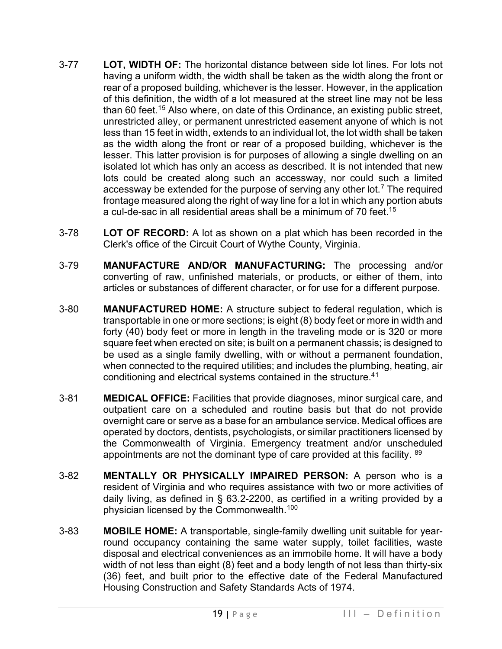- 3-77 **LOT, WIDTH OF:** The horizontal distance between side lot lines. For lots not having a uniform width, the width shall be taken as the width along the front or rear of a proposed building, whichever is the lesser. However, in the application of this definition, the width of a lot measured at the street line may not be less than 60 feet.<sup>1[5](#page-28-0)</sup> Also where, on date of this Ordinance, an existing public street, unrestricted alley, or permanent unrestricted easement anyone of which is not less than 15 feet in width, extends to an individual lot, the lot width shall be taken as the width along the front or rear of a proposed building, whichever is the lesser. This latter provision is for purposes of allowing a single dwelling on an isolated lot which has only an access as described. It is not intended that new lots could be created along such an accessway, nor could such a limited accessway be extended for the purpose of serving any other  $\text{lot.}^7$  $\text{lot.}^7$  The required frontage measured along the right of way line for a lot in which any portion abuts a cul-de-sac in all residential areas shall be a minimum of 70 feet.<sup>1[5](#page-28-2)</sup>
- 3-78 **LOT OF RECORD:** A lot as shown on a plat which has been recorded in the Clerk's office of the Circuit Court of Wythe County, Virginia.
- 3-79 **MANUFACTURE AND/OR MANUFACTURING:** The processing and/or converting of raw, unfinished materials, or products, or either of them, into articles or substances of different character, or for use for a different purpose.
- 3-80 **MANUFACTURED HOME:** A structure subject to federal regulation, which is transportable in one or more sections; is eight (8) body feet or more in width and forty (40) body feet or more in length in the traveling mode or is 320 or more square feet when erected on site; is built on a permanent chassis; is designed to be used as a single family dwelling, with or without a permanent foundation, when connected to the required utilities; and includes the plumbing, heating, air conditioning and electrical systems contained in the structure.4[1](#page-28-3)
- 3-81 **MEDICAL OFFICE:** Facilities that provide diagnoses, minor surgical care, and outpatient care on a scheduled and routine basis but that do not provide overnight care or serve as a base for an ambulance service. Medical offices are operated by doctors, dentists, psychologists, or similar practitioners licensed by the Commonwealth of Virginia. Emergency treatment and/or unscheduled appointments are not the dominant type of care provided at this facility. [89](#page-28-4)
- 3-82 **MENTALLY OR PHYSICALLY IMPAIRED PERSON:** A person who is a resident of Virginia and who requires assistance with two or more activities of daily living, as defined in § [63.2-2200,](http://law.lis.virginia.gov/vacode/63.2-2200/) as certified in a writing provided by a physician licensed by the Commonwealth.<sup>[100](#page-28-5)</sup>
- 3-83 **MOBILE HOME:** A transportable, single-family dwelling unit suitable for yearround occupancy containing the same water supply, toilet facilities, waste disposal and electrical conveniences as an immobile home. It will have a body width of not less than eight (8) feet and a body length of not less than thirty-six (36) feet, and built prior to the effective date of the Federal Manufactured Housing Construction and Safety Standards Acts of 1974.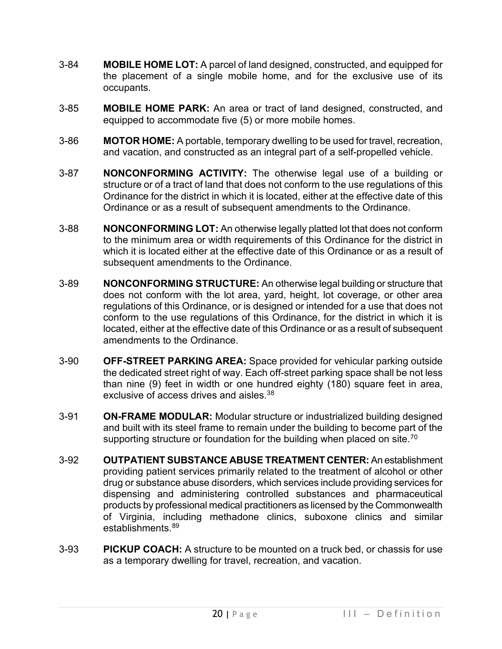- 3-84 **MOBILE HOME LOT:** A parcel of land designed, constructed, and equipped for the placement of a single mobile home, and for the exclusive use of its occupants.
- 3-85 **MOBILE HOME PARK:** An area or tract of land designed, constructed, and equipped to accommodate five (5) or more mobile homes.
- 3-86 **MOTOR HOME:** A portable, temporary dwelling to be used for travel, recreation, and vacation, and constructed as an integral part of a self-propelled vehicle.
- 3-87 **NONCONFORMING ACTIVITY:** The otherwise legal use of a building or structure or of a tract of land that does not conform to the use regulations of this Ordinance for the district in which it is located, either at the effective date of this Ordinance or as a result of subsequent amendments to the Ordinance.
- 3-88 **NONCONFORMING LOT:** An otherwise legally platted lot that does not conform to the minimum area or width requirements of this Ordinance for the district in which it is located either at the effective date of this Ordinance or as a result of subsequent amendments to the Ordinance.
- 3-89 **NONCONFORMING STRUCTURE:** An otherwise legal building or structure that does not conform with the lot area, yard, height, lot coverage, or other area regulations of this Ordinance, or is designed or intended for a use that does not conform to the use regulations of this Ordinance, for the district in which it is located, either at the effective date of this Ordinance or as a result of subsequent amendments to the Ordinance.
- 3-90 **OFF-STREET PARKING AREA:** Space provided for vehicular parking outside the dedicated street right of way. Each off-street parking space shall be not less than nine (9) feet in width or one hundred eighty (180) square feet in area, exclusive of access drives and aisles.<sup>3[8](#page-28-6)</sup>
- 3-91 **ON-FRAME MODULAR:** Modular structure or industrialized building designed and built with its steel frame to remain under the building to become part of the supporting structure or foundation for the building when placed on site.<sup>[70](#page-28-7)</sup>
- 3-92 **OUTPATIENT SUBSTANCE ABUSE TREATMENT CENTER:** An establishment providing patient services primarily related to the treatment of alcohol or other drug or substance abuse disorders, which services include providing services for dispensing and administering controlled substances and pharmaceutical products by professional medical practitioners as licensed by the Commonwealth of Virginia, including methadone clinics, suboxone clinics and similar establishments. [89](#page-28-8)
- 3-93 **PICKUP COACH:** A structure to be mounted on a truck bed, or chassis for use as a temporary dwelling for travel, recreation, and vacation.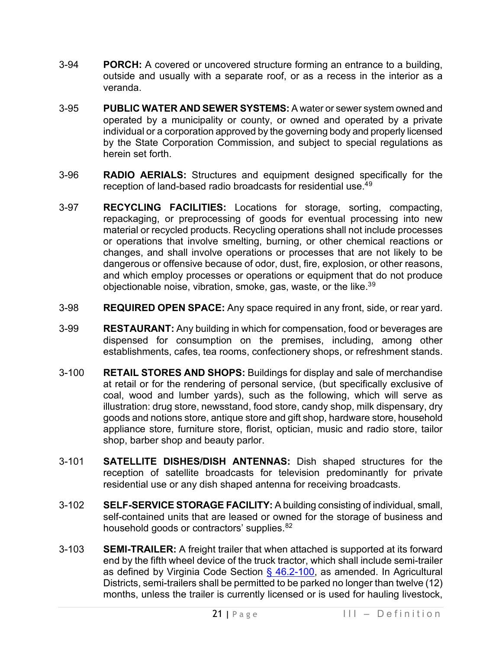- 3-94 **PORCH:** A covered or uncovered structure forming an entrance to a building, outside and usually with a separate roof, or as a recess in the interior as a veranda.
- 3-95 **PUBLIC WATER AND SEWER SYSTEMS:** A water or sewer system owned and operated by a municipality or county, or owned and operated by a private individual or a corporation approved by the governing body and properly licensed by the State Corporation Commission, and subject to special regulations as herein set forth.
- 3-96 **RADIO AERIALS:** Structures and equipment designed specifically for the reception of land-based radio broadcasts for residential use.<sup>4[9](#page-28-9)</sup>
- 3-97 **RECYCLING FACILITIES:** Locations for storage, sorting, compacting, repackaging, or preprocessing of goods for eventual processing into new material or recycled products. Recycling operations shall not include processes or operations that involve smelting, burning, or other chemical reactions or changes, and shall involve operations or processes that are not likely to be dangerous or offensive because of odor, dust, fire, explosion, or other reasons, and which employ processes or operations or equipment that do not produce objectionable noise, vibration, smoke, gas, waste, or the like. $39$  $39$
- 3-98 **REQUIRED OPEN SPACE:** Any space required in any front, side, or rear yard.
- 3-99 **RESTAURANT:** Any building in which for compensation, food or beverages are dispensed for consumption on the premises, including, among other establishments, cafes, tea rooms, confectionery shops, or refreshment stands.
- 3-100 **RETAIL STORES AND SHOPS:** Buildings for display and sale of merchandise at retail or for the rendering of personal service, (but specifically exclusive of coal, wood and lumber yards), such as the following, which will serve as illustration: drug store, newsstand, food store, candy shop, milk dispensary, dry goods and notions store, antique store and gift shop, hardware store, household appliance store, furniture store, florist, optician, music and radio store, tailor shop, barber shop and beauty parlor.
- 3-101 **SATELLITE DISHES/DISH ANTENNAS:** Dish shaped structures for the reception of satellite broadcasts for television predominantly for private residential use or any dish shaped antenna for receiving broadcasts.
- 3-102 **SELF-SERVICE STORAGE FACILITY:** A building consisting of individual, small, self-contained units that are leased or owned for the storage of business and household goods or contractors' supplies. [82](#page-28-11)
- 3-103 **SEMI-TRAILER:** A freight trailer that when attached is supported at its forward end by the fifth wheel device of the truck tractor, which shall include semi-trailer as defined by Virginia Code Section  $\frac{6}{9}$  46.2-100, as amended. In Agricultural Districts, semi-trailers shall be permitted to be parked no longer than twelve (12) months, unless the trailer is currently licensed or is used for hauling livestock,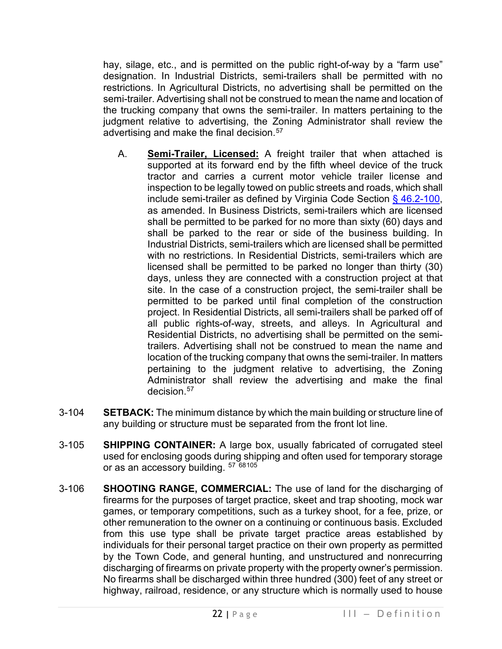hay, silage, etc., and is permitted on the public right-of-way by a "farm use" designation. In Industrial Districts, semi-trailers shall be permitted with no restrictions. In Agricultural Districts, no advertising shall be permitted on the semi-trailer. Advertising shall not be construed to mean the name and location of the trucking company that owns the semi-trailer. In matters pertaining to the judgment relative to advertising, the Zoning Administrator shall review the advertising and make the final decision.<sup>[57](#page-28-12)</sup>

- A. **Semi-Trailer, Licensed:** A freight trailer that when attached is supported at its forward end by the fifth wheel device of the truck tractor and carries a current motor vehicle trailer license and inspection to be legally towed on public streets and roads, which shall include semi-trailer as defined by Virginia Code Section [§ 46.2-100,](https://law.lis.virginia.gov/vacode/title46.2/chapter1/section46.2-100/) as amended. In Business Districts, semi-trailers which are licensed shall be permitted to be parked for no more than sixty (60) days and shall be parked to the rear or side of the business building. In Industrial Districts, semi-trailers which are licensed shall be permitted with no restrictions. In Residential Districts, semi-trailers which are licensed shall be permitted to be parked no longer than thirty (30) days, unless they are connected with a construction project at that site. In the case of a construction project, the semi-trailer shall be permitted to be parked until final completion of the construction project. In Residential Districts, all semi-trailers shall be parked off of all public rights-of-way, streets, and alleys. In Agricultural and Residential Districts, no advertising shall be permitted on the semitrailers. Advertising shall not be construed to mean the name and location of the trucking company that owns the semi-trailer. In matters pertaining to the judgment relative to advertising, the Zoning Administrator shall review the advertising and make the final decision.<sup>[57](#page-28-13)</sup>
- 3-104 **SETBACK:** The minimum distance by which the main building or structure line of any building or structure must be separated from the front lot line.
- 3-105 **SHIPPING CONTAINER:** A large box, usually fabricated of corrugated steel used for enclosing goods during shipping and often used for temporary storage or as an accessory building. [57](#page-28-14) [68](#page-28-15)[105](#page-28-16)
- 3-106 **SHOOTING RANGE, COMMERCIAL:** The use of land for the discharging of firearms for the purposes of target practice, skeet and trap shooting, mock war games, or temporary competitions, such as a turkey shoot, for a fee, prize, or other remuneration to the owner on a continuing or continuous basis. Excluded from this use type shall be private target practice areas established by individuals for their personal target practice on their own property as permitted by the Town Code, and general hunting, and unstructured and nonrecurring discharging of firearms on private property with the property owner's permission. No firearms shall be discharged within three hundred (300) feet of any street or highway, railroad, residence, or any structure which is normally used to house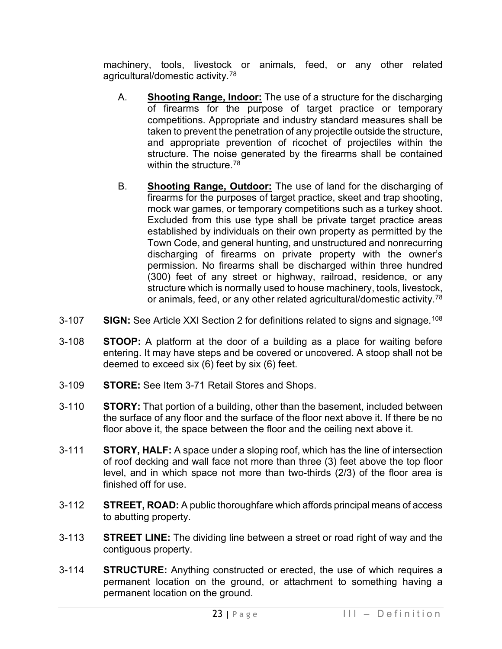machinery, tools, livestock or animals, feed, or any other related agricultural/domestic activity.[78](#page-28-17)

- A. **Shooting Range, Indoor:** The use of a structure for the discharging of firearms for the purpose of target practice or temporary competitions. Appropriate and industry standard measures shall be taken to prevent the penetration of any projectile outside the structure, and appropriate prevention of ricochet of projectiles within the structure. The noise generated by the firearms shall be contained within the structure.<sup>[78](#page-28-18)</sup>
- B. **Shooting Range, Outdoor:** The use of land for the discharging of firearms for the purposes of target practice, skeet and trap shooting, mock war games, or temporary competitions such as a turkey shoot. Excluded from this use type shall be private target practice areas established by individuals on their own property as permitted by the Town Code, and general hunting, and unstructured and nonrecurring discharging of firearms on private property with the owner's permission. No firearms shall be discharged within three hundred (300) feet of any street or highway, railroad, residence, or any structure which is normally used to house machinery, tools, livestock, or animals, feed, or any other related agricultural/domestic activity.[78](#page-28-19)
- 3-107 **SIGN:** See Article XXI Section 2 for definitions related to signs and signage. [108](#page-28-20)
- 3-108 **STOOP:** A platform at the door of a building as a place for waiting before entering. It may have steps and be covered or uncovered. A stoop shall not be deemed to exceed six (6) feet by six (6) feet.
- 3-109 **STORE:** See Item 3-71 Retail Stores and Shops.
- 3-110 **STORY:** That portion of a building, other than the basement, included between the surface of any floor and the surface of the floor next above it. If there be no floor above it, the space between the floor and the ceiling next above it.
- 3-111 **STORY, HALF:** A space under a sloping roof, which has the line of intersection of roof decking and wall face not more than three (3) feet above the top floor level, and in which space not more than two-thirds (2/3) of the floor area is finished off for use.
- 3-112 **STREET, ROAD:** A public thoroughfare which affords principal means of access to abutting property.
- 3-113 **STREET LINE:** The dividing line between a street or road right of way and the contiguous property.
- 3-114 **STRUCTURE:** Anything constructed or erected, the use of which requires a permanent location on the ground, or attachment to something having a permanent location on the ground.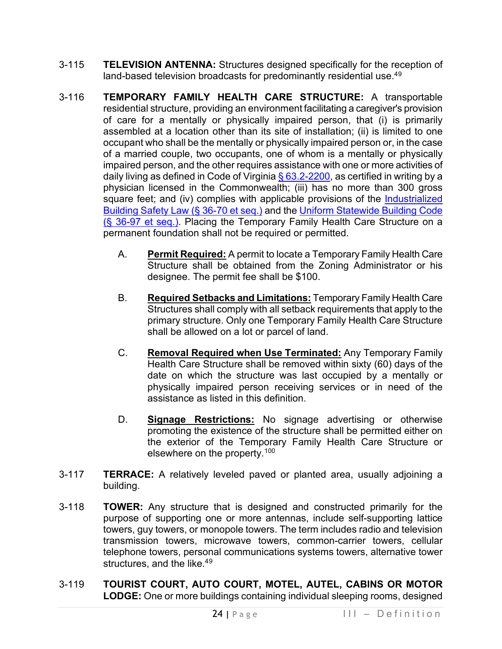- 3-115 **TELEVISION ANTENNA:** Structures designed specifically for the reception of land-based television broadcasts for predominantly residential use.<sup>4[9](#page-28-21)</sup>
- 3-116 **TEMPORARY FAMILY HEALTH CARE STRUCTURE:** A transportable residential structure, providing an environment facilitating a caregiver's provision of care for a mentally or physically impaired person, that (i) is primarily assembled at a location other than its site of installation; (ii) is limited to one occupant who shall be the mentally or physically impaired person or, in the case of a married couple, two occupants, one of whom is a mentally or physically impaired person, and the other requires assistance with one or more activities of daily living as defined in Code of Virginia  $\S$  63.2-2200, as certified in writing by a physician licensed in the Commonwealth; (iii) has no more than 300 gross square feet; and (iv) complies with applicable provisions of the Industrialized [Building Safety Law \(§ 36-70 et seq.\)](https://law.lis.virginia.gov/vacodepopularnames/industrialized-building-safety-law/) and the [Uniform Statewide Building Code](https://law.lis.virginia.gov/vacode/title36/chapter6/)  [\(§ 36-97 et seq.\).](https://law.lis.virginia.gov/vacode/title36/chapter6/) Placing the Temporary Family Health Care Structure on a permanent foundation shall not be required or permitted.
	- A. **Permit Required:** A permit to locate a Temporary Family Health Care Structure shall be obtained from the Zoning Administrator or his designee. The permit fee shall be \$100.
	- B. **Required Setbacks and Limitations:** Temporary Family Health Care Structures shall comply with all setback requirements that apply to the primary structure. Only one Temporary Family Health Care Structure shall be allowed on a lot or parcel of land.
	- C. **Removal Required when Use Terminated:** Any Temporary Family Health Care Structure shall be removed within sixty (60) days of the date on which the structure was last occupied by a mentally or physically impaired person receiving services or in need of the assistance as listed in this definition.
	- D. **Signage Restrictions:** No signage advertising or otherwise promoting the existence of the structure shall be permitted either on the exterior of the Temporary Family Health Care Structure or elsewhere on the property.[100](#page-28-22)
- 3-117 **TERRACE:** A relatively leveled paved or planted area, usually adjoining a building.
- 3-118 **TOWER:** Any structure that is designed and constructed primarily for the purpose of supporting one or more antennas, include self-supporting lattice towers, guy towers, or monopole towers. The term includes radio and television transmission towers, microwave towers, common-carrier towers, cellular telephone towers, personal communications systems towers, alternative tower structures, and the like.<sup>4[9](#page-28-23)</sup>
- 3-119 **TOURIST COURT, AUTO COURT, MOTEL, AUTEL, CABINS OR MOTOR LODGE:** One or more buildings containing individual sleeping rooms, designed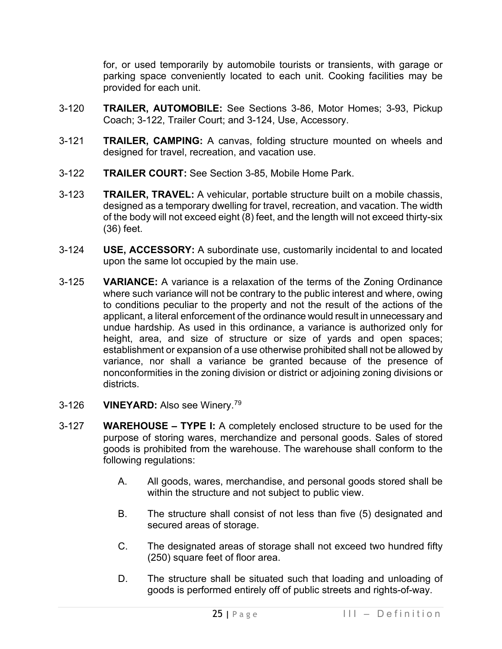for, or used temporarily by automobile tourists or transients, with garage or parking space conveniently located to each unit. Cooking facilities may be provided for each unit.

- 3-120 **TRAILER, AUTOMOBILE:** See Sections 3-86, Motor Homes; 3-93, Pickup Coach; 3-122, Trailer Court; and 3-124, Use, Accessory.
- 3-121 **TRAILER, CAMPING:** A canvas, folding structure mounted on wheels and designed for travel, recreation, and vacation use.
- 3-122 **TRAILER COURT:** See Section 3-85, Mobile Home Park.
- 3-123 **TRAILER, TRAVEL:** A vehicular, portable structure built on a mobile chassis, designed as a temporary dwelling for travel, recreation, and vacation. The width of the body will not exceed eight (8) feet, and the length will not exceed thirty-six (36) feet.
- 3-124 **USE, ACCESSORY:** A subordinate use, customarily incidental to and located upon the same lot occupied by the main use.
- 3-125 **VARIANCE:** A variance is a relaxation of the terms of the Zoning Ordinance where such variance will not be contrary to the public interest and where, owing to conditions peculiar to the property and not the result of the actions of the applicant, a literal enforcement of the ordinance would result in unnecessary and undue hardship. As used in this ordinance, a variance is authorized only for height, area, and size of structure or size of yards and open spaces; establishment or expansion of a use otherwise prohibited shall not be allowed by variance, nor shall a variance be granted because of the presence of nonconformities in the zoning division or district or adjoining zoning divisions or districts.
- 3-126 **VINEYARD:** Also see Winery.[79](#page-28-24)
- 3-127 **WAREHOUSE – TYPE I:** A completely enclosed structure to be used for the purpose of storing wares, merchandize and personal goods. Sales of stored goods is prohibited from the warehouse. The warehouse shall conform to the following regulations:
	- A. All goods, wares, merchandise, and personal goods stored shall be within the structure and not subject to public view.
	- B. The structure shall consist of not less than five (5) designated and secured areas of storage.
	- C. The designated areas of storage shall not exceed two hundred fifty (250) square feet of floor area.
	- D. The structure shall be situated such that loading and unloading of goods is performed entirely off of public streets and rights-of-way.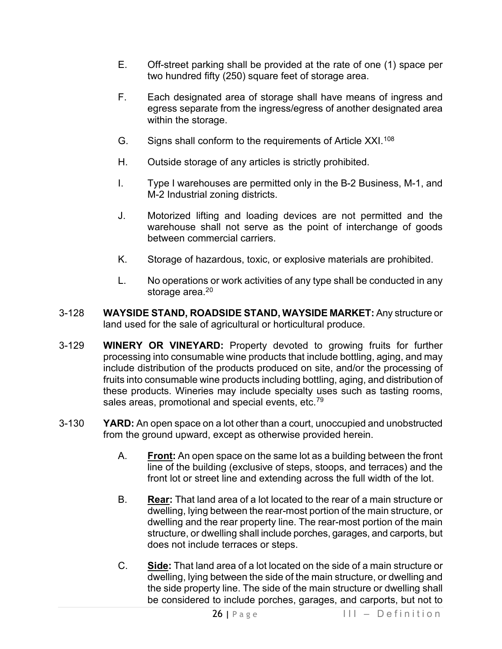- E. Off-street parking shall be provided at the rate of one (1) space per two hundred fifty (250) square feet of storage area.
- F. Each designated area of storage shall have means of ingress and egress separate from the ingress/egress of another designated area within the storage.
- G. Signs shall conform to the requirements of Article XXI.<sup>[108](#page-28-25)</sup>
- H. Outside storage of any articles is strictly prohibited.
- I. Type I warehouses are permitted only in the B-2 Business, M-1, and M-2 Industrial zoning districts.
- J. Motorized lifting and loading devices are not permitted and the warehouse shall not serve as the point of interchange of goods between commercial carriers.
- K. Storage of hazardous, toxic, or explosive materials are prohibited.
- L. No operations or work activities of any type shall be conducted in any storage area.<sup>2[0](#page-28-26)</sup>
- 3-128 **WAYSIDE STAND, ROADSIDE STAND, WAYSIDE MARKET:** Any structure or land used for the sale of agricultural or horticultural produce.
- 3-129 **WINERY OR VINEYARD:** Property devoted to growing fruits for further processing into consumable wine products that include bottling, aging, and may include distribution of the products produced on site, and/or the processing of fruits into consumable wine products including bottling, aging, and distribution of these products. Wineries may include specialty uses such as tasting rooms, sales areas, promotional and special events, etc.<sup>[79](#page-28-27)</sup>
- 3-130 **YARD:** An open space on a lot other than a court, unoccupied and unobstructed from the ground upward, except as otherwise provided herein.
	- A. **Front:** An open space on the same lot as a building between the front line of the building (exclusive of steps, stoops, and terraces) and the front lot or street line and extending across the full width of the lot.
	- B. **Rear:** That land area of a lot located to the rear of a main structure or dwelling, lying between the rear-most portion of the main structure, or dwelling and the rear property line. The rear-most portion of the main structure, or dwelling shall include porches, garages, and carports, but does not include terraces or steps.
	- C. **Side:** That land area of a lot located on the side of a main structure or dwelling, lying between the side of the main structure, or dwelling and the side property line. The side of the main structure or dwelling shall be considered to include porches, garages, and carports, but not to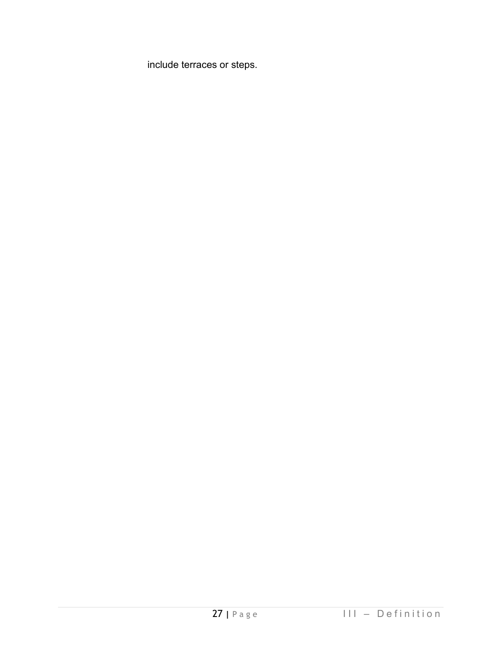include terraces or steps.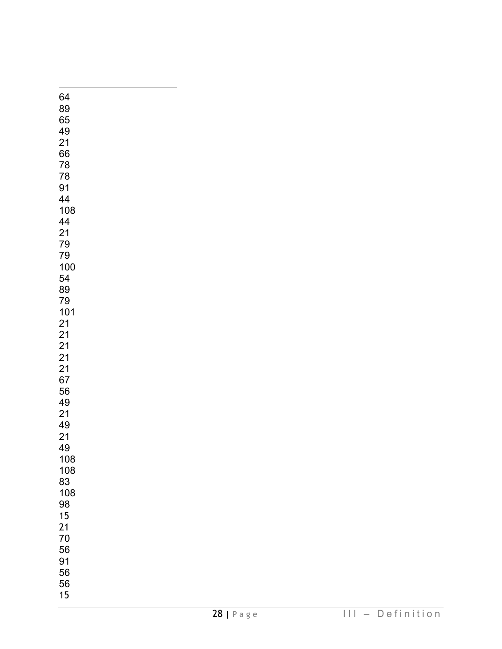<span id="page-27-44"></span><span id="page-27-43"></span><span id="page-27-42"></span><span id="page-27-41"></span><span id="page-27-40"></span><span id="page-27-39"></span><span id="page-27-38"></span><span id="page-27-37"></span><span id="page-27-36"></span><span id="page-27-35"></span><span id="page-27-34"></span><span id="page-27-33"></span><span id="page-27-32"></span><span id="page-27-31"></span><span id="page-27-30"></span><span id="page-27-29"></span><span id="page-27-28"></span><span id="page-27-27"></span><span id="page-27-26"></span><span id="page-27-25"></span><span id="page-27-24"></span><span id="page-27-23"></span><span id="page-27-22"></span><span id="page-27-21"></span><span id="page-27-20"></span><span id="page-27-19"></span><span id="page-27-18"></span><span id="page-27-17"></span><span id="page-27-16"></span><span id="page-27-15"></span><span id="page-27-14"></span><span id="page-27-13"></span><span id="page-27-12"></span><span id="page-27-11"></span><span id="page-27-10"></span><span id="page-27-9"></span><span id="page-27-8"></span><span id="page-27-7"></span><span id="page-27-6"></span><span id="page-27-5"></span><span id="page-27-4"></span><span id="page-27-3"></span><span id="page-27-2"></span><span id="page-27-1"></span><span id="page-27-0"></span>

| 64       |  |  |  |
|----------|--|--|--|
| 89       |  |  |  |
| 65       |  |  |  |
| 49       |  |  |  |
| 21       |  |  |  |
| 66       |  |  |  |
| 78       |  |  |  |
| 78       |  |  |  |
| 91       |  |  |  |
| 44       |  |  |  |
| 108      |  |  |  |
| 44       |  |  |  |
|          |  |  |  |
| 21<br>79 |  |  |  |
| 79       |  |  |  |
| 100      |  |  |  |
| 54       |  |  |  |
| 89       |  |  |  |
| 79       |  |  |  |
| 101      |  |  |  |
| 21       |  |  |  |
| 21       |  |  |  |
| 21       |  |  |  |
| 21       |  |  |  |
| 21       |  |  |  |
| 67       |  |  |  |
| 56       |  |  |  |
| 49       |  |  |  |
| 21       |  |  |  |
| 49       |  |  |  |
| 21       |  |  |  |
| 49       |  |  |  |
| 108      |  |  |  |
| 108      |  |  |  |
| 83       |  |  |  |
| 108      |  |  |  |
| 98       |  |  |  |
| 15       |  |  |  |
| 21       |  |  |  |
| 70       |  |  |  |
| 56       |  |  |  |
| 91       |  |  |  |
| 56       |  |  |  |
| 56       |  |  |  |
| 15       |  |  |  |
|          |  |  |  |